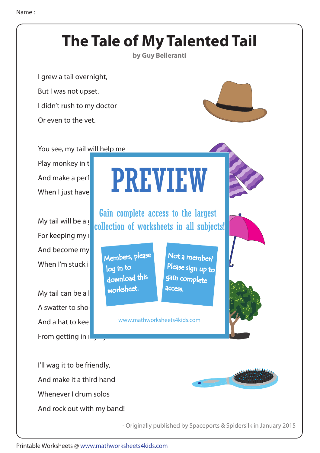

Printable Worksheets @ www.mathworksheets4kids.com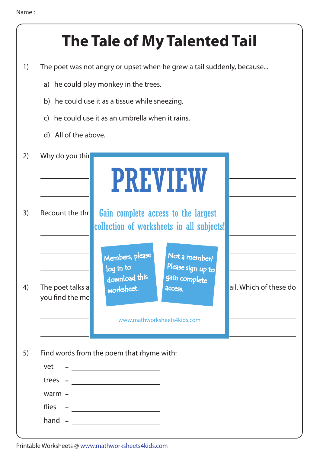|    | <b>The Tale of My Talented Tail</b>                                   |                                                                                                      |  |
|----|-----------------------------------------------------------------------|------------------------------------------------------------------------------------------------------|--|
| 1) | The poet was not angry or upset when he grew a tail suddenly, because |                                                                                                      |  |
|    | a) he could play monkey in the trees.                                 |                                                                                                      |  |
|    | b) he could use it as a tissue while sneezing.                        |                                                                                                      |  |
|    | he could use it as an umbrella when it rains.<br>$\mathsf{C}$         |                                                                                                      |  |
|    | d) All of the above.                                                  |                                                                                                      |  |
| 2) | Why do you thir                                                       |                                                                                                      |  |
|    |                                                                       | <b>PREVIEW</b>                                                                                       |  |
| 3) | Recount the thr                                                       | Gain complete access to the largest<br>collection of worksheets in all subjects!                     |  |
|    |                                                                       | Members, please<br>Not a member?<br>Please sign up to<br>log in to<br>download this<br>gain complete |  |
| 4) | The poet talks a<br>you find the mo                                   | ail. Which of these do<br>worksheet.<br>access.<br>www.mathworksheets4kids.com                       |  |
|    |                                                                       |                                                                                                      |  |
| 5) |                                                                       | Find words from the poem that rhyme with:                                                            |  |
|    | vet                                                                   | <u> 1990 - Johann Barbara, martin a</u>                                                              |  |
|    | trees                                                                 | <u> 1980 - Johann Barbara, martxa alemaniar a</u>                                                    |  |
|    | $warm -$<br>flies                                                     | <u> 1989 - Andrea Station Barbara, amerikan per</u>                                                  |  |
|    | hand                                                                  | <u> The Communication of the Communication of</u>                                                    |  |
|    |                                                                       |                                                                                                      |  |

Printable Worksheets @ www.mathworksheets4kids.com